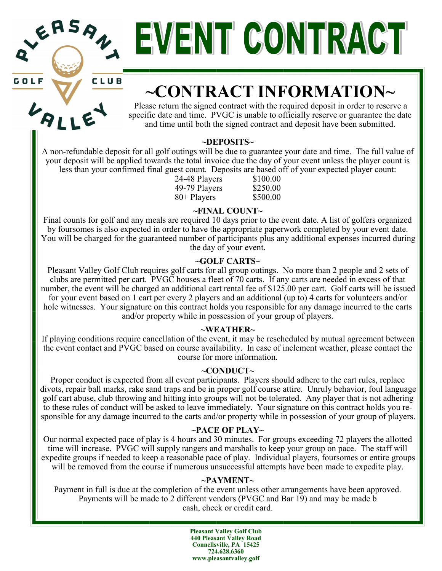|                      |  | EASAN   |  |
|----------------------|--|---------|--|
| $\blacktriangledown$ |  |         |  |
| n 1 5                |  | - 61 11 |  |

# EVENIT CONTRACT

# **~CONTRACT INFORMATION~**

Please return the signed contract with the required deposit in order to reserve a specific date and time. PVGC is unable to officially reserve or guarantee the date and time until both the signed contract and deposit have been submitted.

#### **~DEPOSITS~**

A non-refundable deposit for all golf outings will be due to guarantee your date and time. The full value of your deposit will be applied towards the total invoice due the day of your event unless the player count is less than your confirmed final guest count. Deposits are based off of your expected player count:

24-48 Players \$100.00 49-79 Players \$250.00 80+ Players \$500.00

#### **~FINAL COUNT~**

Final counts for golf and any meals are required 10 days prior to the event date. A list of golfers organized by foursomes is also expected in order to have the appropriate paperwork completed by your event date. You will be charged for the guaranteed number of participants plus any additional expenses incurred during the day of your event.

#### **~GOLF CARTS~**

Pleasant Valley Golf Club requires golf carts for all group outings. No more than 2 people and 2 sets of clubs are permitted per cart. PVGC houses a fleet of 70 carts. If any carts are needed in excess of that number, the event will be charged an additional cart rental fee of \$125.00 per cart. Golf carts will be issued for your event based on 1 cart per every 2 players and an additional (up to) 4 carts for volunteers and/or hole witnesses. Your signature on this contract holds you responsible for any damage incurred to the carts and/or property while in possession of your group of players.

#### **~WEATHER~**

If playing conditions require cancellation of the event, it may be rescheduled by mutual agreement between the event contact and PVGC based on course availability. In case of inclement weather, please contact the course for more information.

#### **~CONDUCT~**

Proper conduct is expected from all event participants. Players should adhere to the cart rules, replace divots, repair ball marks, rake sand traps and be in proper golf course attire. Unruly behavior, foul language golf cart abuse, club throwing and hitting into groups will not be tolerated. Any player that is not adhering to these rules of conduct will be asked to leave immediately. Your signature on this contract holds you responsible for any damage incurred to the carts and/or property while in possession of your group of players.

#### **~PACE OF PLAY~**

Our normal expected pace of play is 4 hours and 30 minutes. For groups exceeding 72 players the allotted time will increase. PVGC will supply rangers and marshalls to keep your group on pace. The staff will expedite groups if needed to keep a reasonable pace of play. Individual players, foursomes or entire groups will be removed from the course if numerous unsuccessful attempts have been made to expedite play.

#### **~PAYMENT~**

Payment in full is due at the completion of the event unless other arrangements have been approved. Payments will be made to 2 different vendors (PVGC and Bar 19) and may be made b cash, check or credit card.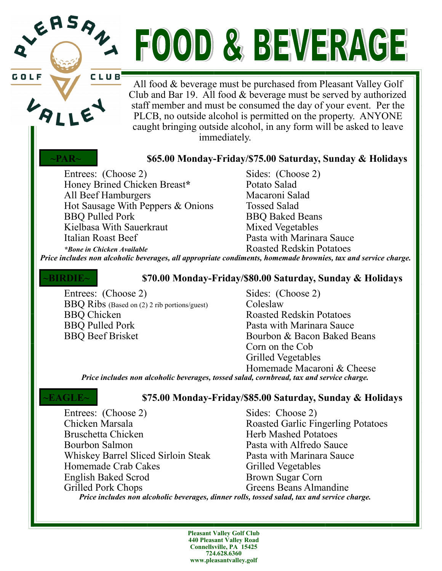# ERSAL FOOD & BEVERAGE

CLUB

GOLI

LAL

All food & beverage must be purchased from Pleasant Valley Golf Club and Bar 19. All food & beverage must be served by authorized staff member and must be consumed the day of your event. Per the PLCB, no outside alcohol is permitted on the property. ANYONE caught bringing outside alcohol, in any form will be asked to leave immediately.

#### **~PAR~ \$65.00 Monday-Friday/\$75.00 Saturday, Sunday & Holidays**

Entrees: (Choose 2) Sides: (Choose 2)<br>
Honey Brined Chicken Breast\* Potato Salad Honey Brined Chicken Breast\* All Beef Hamburgers Macaroni Salad Hot Sausage With Peppers & Onions Tossed Salad BBQ Pulled Pork BBQ Baked Beans Kielbasa With Sauerkraut Mixed Vegetables Italian Roast Beef **Pasta with Marinara Sauce** 

*\*Bone in Chicken Available* Roasted Redskin Potatoes

*Price includes non alcoholic beverages, all appropriate condiments, homemade brownies, tax and service charge.* 

#### **~BIRDIE~ \$70.00 Monday-Friday/\$80.00 Saturday, Sunday & Holidays**

Entrees: (Choose 2) Sides: (Choose 2) BBQ Ribs (Based on (2) 2 rib portions/guest) Coleslaw BBQ Chicken<br>BBO Pulled Pork Pasta with Marinara Sauce BBQ Beef Brisket Bourbon & Bacon Baked Beans

Pasta with Marinara Sauce Corn on the Cob Grilled Vegetables Homemade Macaroni & Cheese

*Price includes non alcoholic beverages, tossed salad, cornbread, tax and service charge.* 

#### **~EAGLE~ \$75.00 Monday-Friday/\$85.00 Saturday, Sunday & Holidays**

Entrees: (Choose 2) Sides: Choose 2) Chicken Marsala<br>
Roasted Garlic Fingerling Potatoes<br>
Herb Mashed Potatoes Herb Mashed Potatoes Bourbon Salmon Pasta with Alfredo Sauce Whiskey Barrel Sliced Sirloin Steak Pasta with Marinara Sauce Homemade Crab Cakes Grilled Vegetables English Baked Scrod Brown Sugar Corn<br>Grilled Pork Chops Greens Beans Alma Greens Beans Almandine *Price includes non alcoholic beverages, dinner rolls, tossed salad, tax and service charge.*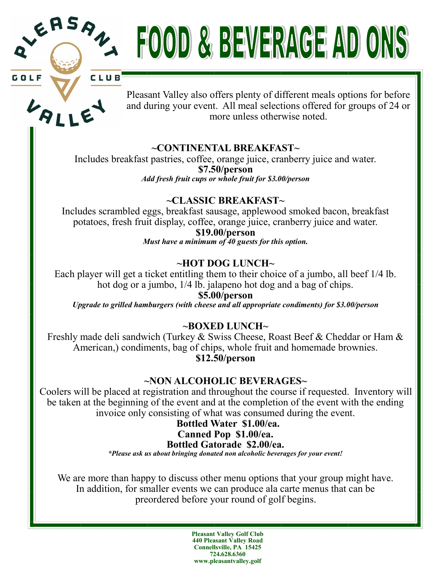

# RSA FOOD & BEVERAGE AD ONS

CLUB



GOLF

Pleasant Valley also offers plenty of different meals options for before and during your event. All meal selections offered for groups of 24 or more unless otherwise noted.

### **~CONTINENTAL BREAKFAST~**

Includes breakfast pastries, coffee, orange juice, cranberry juice and water. **\$7.50/person** *Add fresh fruit cups or whole fruit for \$3.00/person*

#### **~CLASSIC BREAKFAST~**

Includes scrambled eggs, breakfast sausage, applewood smoked bacon, breakfast potatoes, fresh fruit display, coffee, orange juice, cranberry juice and water.

#### **\$19.00/person**

*Must have a minimum of 40 guests for this option.* 

#### **~HOT DOG LUNCH~**

Each player will get a ticket entitling them to their choice of a jumbo, all beef 1/4 lb. hot dog or a jumbo, 1/4 lb. jalapeno hot dog and a bag of chips.

**\$5.00/person** *Upgrade to grilled hamburgers (with cheese and all appropriate condiments) for \$3.00/person*

#### **~BOXED LUNCH~**

Freshly made deli sandwich (Turkey & Swiss Cheese, Roast Beef & Cheddar or Ham & American,) condiments, bag of chips, whole fruit and homemade brownies. **\$12.50/person**

#### **~NON ALCOHOLIC BEVERAGES~**

Coolers will be placed at registration and throughout the course if requested. Inventory will be taken at the beginning of the event and at the completion of the event with the ending invoice only consisting of what was consumed during the event.

#### **Bottled Water \$1.00/ea.**

#### **Canned Pop \$1.00/ea.**

#### **Bottled Gatorade \$2.00/ea.**

*\*Please ask us about bringing donated non alcoholic beverages for your event!*

We are more than happy to discuss other menu options that your group might have. In addition, for smaller events we can produce ala carte menus that can be preordered before your round of golf begins.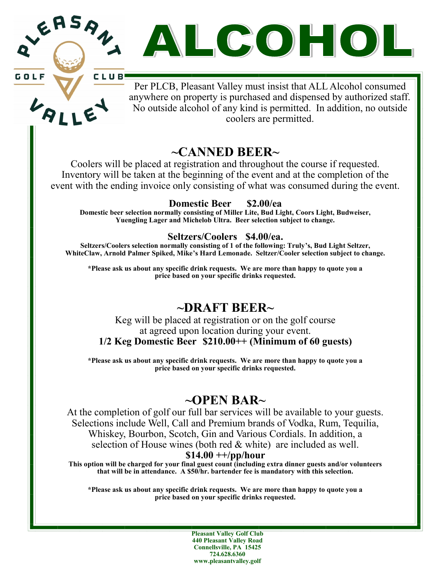ASAN. ALCOHOL

**GOLF** 

CLUB! Per PLCB, Pleasant Valley must insist that ALL Alcohol consumed anywhere on property is purchased and dispensed by authorized staff. No outside alcohol of any kind is permitted. In addition, no outside coolers are permitted.

## **~CANNED BEER~**

Coolers will be placed at registration and throughout the course if requested. Inventory will be taken at the beginning of the event and at the completion of the event with the ending invoice only consisting of what was consumed during the event.

**Domestic Beer \$2.00/ea**

**Domestic beer selection normally consisting of Miller Lite, Bud Light, Coors Light, Budweiser, Yuengling Lager and Michelob Ultra. Beer selection subject to change.** 

#### **Seltzers/Coolers \$4.00/ea.**

**Seltzers/Coolers selection normally consisting of 1 of the following: Truly's, Bud Light Seltzer, WhiteClaw, Arnold Palmer Spiked, Mike's Hard Lemonade. Seltzer/Cooler selection subject to change.** 

**\*Please ask us about any specific drink requests. We are more than happy to quote you a price based on your specific drinks requested.** 

## **~DRAFT BEER~**

#### Keg will be placed at registration or on the golf course at agreed upon location during your event. **1/2 Keg Domestic Beer \$210.00++ (Minimum of 60 guests)**

**\*Please ask us about any specific drink requests. We are more than happy to quote you a price based on your specific drinks requested.** 

## **~OPEN BAR~**

At the completion of golf our full bar services will be available to your guests. Selections include Well, Call and Premium brands of Vodka, Rum, Tequilia, Whiskey, Bourbon, Scotch, Gin and Various Cordials. In addition, a selection of House wines (both red & white) are included as well.

### **\$14.00 ++/pp/hour**

**This option will be charged for your final guest count (including extra dinner guests and/or volunteers that will be in attendance. A \$50/hr. bartender fee is mandatory with this selection.** 

**\*Please ask us about any specific drink requests. We are more than happy to quote you a price based on your specific drinks requested.**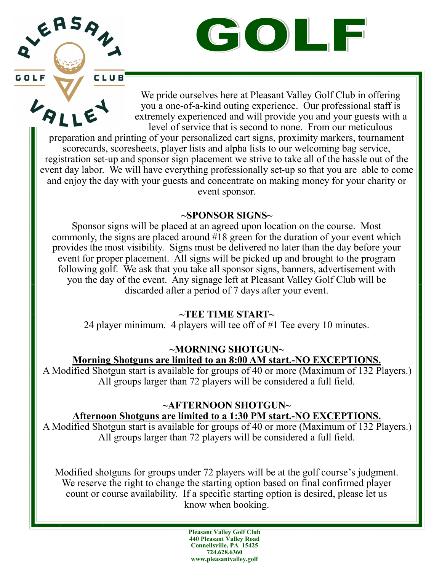GOLF

We pride ourselves here at Pleasant Valley Golf Club in offering you a one-of-a-kind outing experience. Our professional staff is extremely experienced and will provide you and your guests with a level of service that is second to none. From our meticulous

preparation and printing of your personalized cart signs, proximity markers, tournament scorecards, scoresheets, player lists and alpha lists to our welcoming bag service, registration set-up and sponsor sign placement we strive to take all of the hassle out of the event day labor. We will have everything professionally set-up so that you are able to come and enjoy the day with your guests and concentrate on making money for your charity or event sponsor.

EASAN

 $\ddot{B}$ 

GOLF

CLUB

#### **~SPONSOR SIGNS~**

Sponsor signs will be placed at an agreed upon location on the course. Most commonly, the signs are placed around #18 green for the duration of your event which provides the most visibility. Signs must be delivered no later than the day before your event for proper placement. All signs will be picked up and brought to the program following golf. We ask that you take all sponsor signs, banners, advertisement with you the day of the event. Any signage left at Pleasant Valley Golf Club will be discarded after a period of 7 days after your event.

#### **~TEE TIME START~**

24 player minimum. 4 players will tee off of #1 Tee every 10 minutes.

### **~MORNING SHOTGUN~**

**Morning Shotguns are limited to an 8:00 AM start.-NO EXCEPTIONS.**

A Modified Shotgun start is available for groups of 40 or more (Maximum of 132 Players.) All groups larger than 72 players will be considered a full field.

#### **~AFTERNOON SHOTGUN~ Afternoon Shotguns are limited to a 1:30 PM start.-NO EXCEPTIONS.**

A Modified Shotgun start is available for groups of 40 or more (Maximum of 132 Players.) All groups larger than 72 players will be considered a full field.

Modified shotguns for groups under 72 players will be at the golf course's judgment. We reserve the right to change the starting option based on final confirmed player count or course availability. If a specific starting option is desired, please let us know when booking.